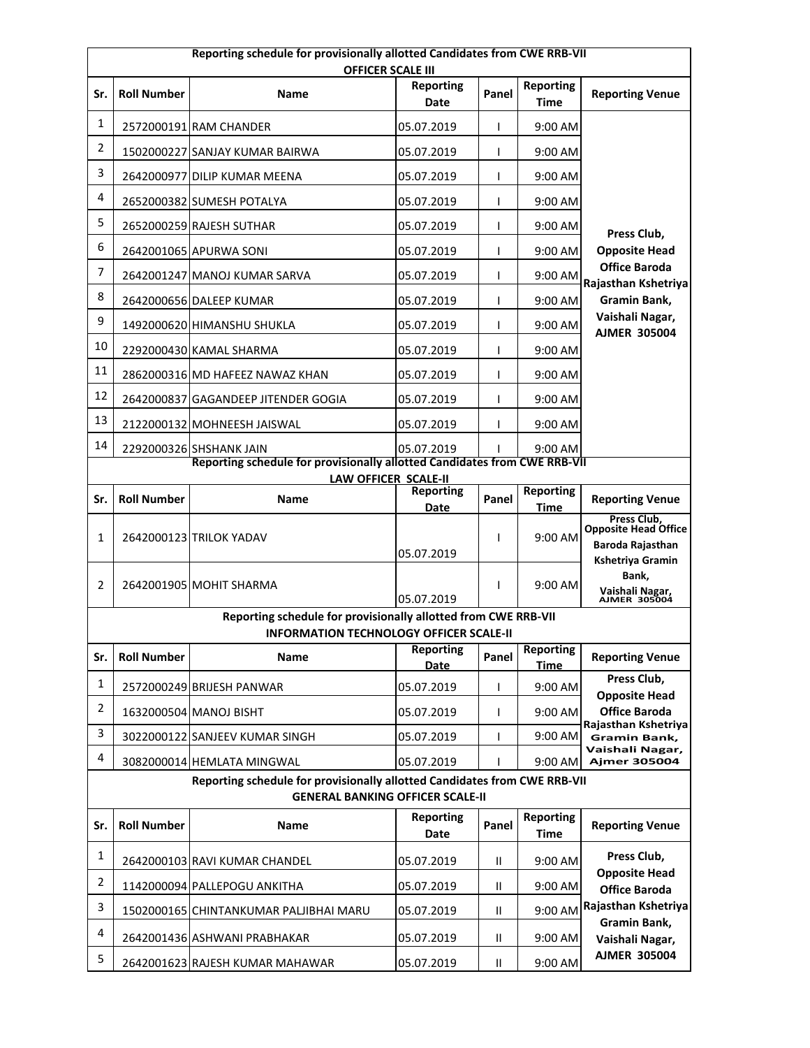|                                                                                                                      | Reporting schedule for provisionally allotted Candidates from CWE RRB-VII<br><b>OFFICER SCALE III</b>                                                          |                                                                |                          |               |                                 |                                                                                    |  |
|----------------------------------------------------------------------------------------------------------------------|----------------------------------------------------------------------------------------------------------------------------------------------------------------|----------------------------------------------------------------|--------------------------|---------------|---------------------------------|------------------------------------------------------------------------------------|--|
| Sr.                                                                                                                  | <b>Roll Number</b>                                                                                                                                             | Name                                                           | <b>Reporting</b><br>Date | Panel         | <b>Reporting</b><br><b>Time</b> | <b>Reporting Venue</b>                                                             |  |
| $\mathbf{1}$                                                                                                         |                                                                                                                                                                | 2572000191 RAM CHANDER                                         | 05.07.2019               | T             | 9:00 AM                         |                                                                                    |  |
| $\overline{2}$                                                                                                       |                                                                                                                                                                | 1502000227 SANJAY KUMAR BAIRWA                                 | 05.07.2019               | T             | 9:00 AM                         |                                                                                    |  |
| 3                                                                                                                    |                                                                                                                                                                | 2642000977 DILIP KUMAR MEENA                                   | 05.07.2019               | T             | 9:00 AM                         |                                                                                    |  |
| 4                                                                                                                    |                                                                                                                                                                | 2652000382 SUMESH POTALYA                                      | 05.07.2019               | $\mathbf{I}$  | 9:00 AM                         |                                                                                    |  |
| 5                                                                                                                    |                                                                                                                                                                | 2652000259 RAJESH SUTHAR                                       | 05.07.2019               | T             | 9:00 AM                         | Press Club,                                                                        |  |
| 6                                                                                                                    |                                                                                                                                                                | 2642001065 APURWA SONI                                         | 05.07.2019               | T             | 9:00 AM                         | <b>Opposite Head</b>                                                               |  |
| 7                                                                                                                    |                                                                                                                                                                | 2642001247 MANOJ KUMAR SARVA                                   | 05.07.2019               | T             | 9:00 AM                         | <b>Office Baroda</b><br>Rajasthan Kshetriya                                        |  |
| 8                                                                                                                    |                                                                                                                                                                | 2642000656 DALEEP KUMAR                                        | 05.07.2019               | T             | 9:00 AM                         | Gramin Bank,                                                                       |  |
| 9                                                                                                                    |                                                                                                                                                                | 1492000620 HIMANSHU SHUKLA                                     | 05.07.2019               | T             | 9:00 AM                         | Vaishali Nagar,<br><b>AJMER 305004</b>                                             |  |
| 10                                                                                                                   |                                                                                                                                                                | 2292000430 KAMAL SHARMA                                        | 05.07.2019               | $\mathbf{I}$  | 9:00 AM                         |                                                                                    |  |
| 11                                                                                                                   |                                                                                                                                                                | 2862000316 MD HAFEEZ NAWAZ KHAN                                | 05.07.2019               | T             | 9:00 AM                         |                                                                                    |  |
| 12                                                                                                                   |                                                                                                                                                                | 2642000837 GAGANDEEP JITENDER GOGIA                            | 05.07.2019               | L             | 9:00 AM                         |                                                                                    |  |
| 13                                                                                                                   |                                                                                                                                                                | 2122000132 MOHNEESH JAISWAL                                    | 05.07.2019               | L             | 9:00 AM                         |                                                                                    |  |
| 14                                                                                                                   |                                                                                                                                                                | 2292000326 SHSHANK JAIN                                        | 05.07.2019               |               | 9:00 AM                         |                                                                                    |  |
|                                                                                                                      | Reporting schedule for provisionally allotted Candidates from CWE RRB-VII<br><b>LAW OFFICER SCALE-II</b>                                                       |                                                                |                          |               |                                 |                                                                                    |  |
| Sr.                                                                                                                  | <b>Roll Number</b>                                                                                                                                             | Name                                                           | <b>Reporting</b><br>Date | Panel         | <b>Reporting</b><br><b>Time</b> | <b>Reporting Venue</b>                                                             |  |
| 1                                                                                                                    |                                                                                                                                                                | 2642000123 TRILOK YADAV                                        | 05.07.2019               | L             | 9:00 AM                         | Press Club.<br><b>Opposite Head Office</b><br>Baroda Rajasthan<br>Kshetriya Gramin |  |
| $\overline{2}$                                                                                                       |                                                                                                                                                                | 2642001905 MOHIT SHARMA                                        | 05.07.2019               | L             | 9:00 AM                         | Bank,<br>Vaishali Nagar,<br>AJMER 305004                                           |  |
|                                                                                                                      |                                                                                                                                                                | Reporting schedule for provisionally allotted from CWE RRB-VII |                          |               |                                 |                                                                                    |  |
| Sr.                                                                                                                  | <b>INFORMATION TECHNOLOGY OFFICER SCALE-II</b><br><b>Reporting</b><br><b>Reporting</b><br><b>Roll Number</b><br><b>Reporting Venue</b><br><b>Name</b><br>Panel |                                                                |                          |               |                                 |                                                                                    |  |
|                                                                                                                      |                                                                                                                                                                |                                                                | <b>Date</b>              |               | <u>Time</u>                     | Press Club,                                                                        |  |
| $\mathbf{1}$                                                                                                         |                                                                                                                                                                | 2572000249 BRIJESH PANWAR                                      | 05.07.2019               | L             | 9:00 AM                         | <b>Opposite Head</b>                                                               |  |
| $\overline{2}$                                                                                                       |                                                                                                                                                                | 1632000504 MANOJ BISHT                                         | 05.07.2019               | T             | 9:00 AM                         | <b>Office Baroda</b><br>Rajasthan Kshetriya                                        |  |
| $\mathbf{3}$                                                                                                         |                                                                                                                                                                | 3022000122 SANJEEV KUMAR SINGH                                 | 05.07.2019               | $\mathbf{I}$  | 9:00 AM                         | <b>Gramin Bank,</b><br>Vaishali Nagar,                                             |  |
| 4                                                                                                                    |                                                                                                                                                                | 3082000014 HEMLATA MINGWAL                                     | 05.07.2019               | L             | 9:00 AM                         | <b>Ajmer 305004</b>                                                                |  |
| Reporting schedule for provisionally allotted Candidates from CWE RRB-VII<br><b>GENERAL BANKING OFFICER SCALE-II</b> |                                                                                                                                                                |                                                                |                          |               |                                 |                                                                                    |  |
| Sr.                                                                                                                  | <b>Roll Number</b>                                                                                                                                             | Name                                                           | <b>Reporting</b><br>Date | Panel         | Reporting<br><b>Time</b>        | <b>Reporting Venue</b>                                                             |  |
| 1                                                                                                                    |                                                                                                                                                                | 2642000103 RAVI KUMAR CHANDEL                                  | 05.07.2019               | Ш             | 9:00 AM                         | Press Club,                                                                        |  |
| $\overline{2}$                                                                                                       |                                                                                                                                                                | 1142000094 PALLEPOGU ANKITHA                                   | 05.07.2019               | $\mathbf{II}$ | 9:00 AM                         | <b>Opposite Head</b><br><b>Office Baroda</b>                                       |  |
| 3                                                                                                                    |                                                                                                                                                                | 1502000165 CHINTANKUMAR PALJIBHAI MARU                         | 05.07.2019               | $\mathbf{H}$  | 9:00 AM                         | Rajasthan Kshetriya                                                                |  |
| 4                                                                                                                    |                                                                                                                                                                | 2642001436 ASHWANI PRABHAKAR                                   | 05.07.2019               | Ш             | 9:00 AM                         | Gramin Bank,<br>Vaishali Nagar,                                                    |  |
| 5                                                                                                                    |                                                                                                                                                                | 2642001623 RAJESH KUMAR MAHAWAR                                | 05.07.2019               | Ш             | 9:00 AM                         | <b>AJMER 305004</b>                                                                |  |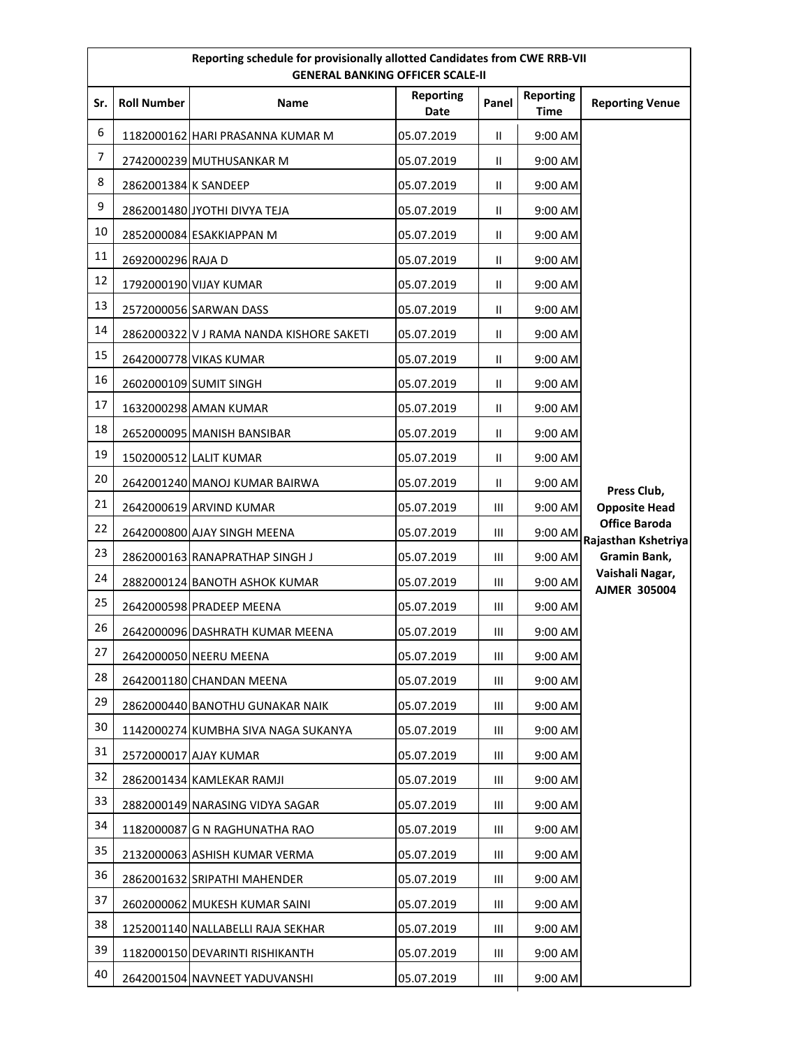| Reporting schedule for provisionally allotted Candidates from CWE RRB-VII<br><b>GENERAL BANKING OFFICER SCALE-II</b> |                      |                                          |                          |                |                                 |                                             |
|----------------------------------------------------------------------------------------------------------------------|----------------------|------------------------------------------|--------------------------|----------------|---------------------------------|---------------------------------------------|
| Sr.                                                                                                                  | <b>Roll Number</b>   | <b>Name</b>                              | <b>Reporting</b><br>Date | Panel          | <b>Reporting</b><br><b>Time</b> | <b>Reporting Venue</b>                      |
| 6                                                                                                                    |                      | 1182000162 HARI PRASANNA KUMAR M         | 05.07.2019               | $\mathbf{H}$   | 9:00 AM                         |                                             |
| 7                                                                                                                    |                      | 2742000239 MUTHUSANKAR M                 | 05.07.2019               | $\mathbf{H}$   | 9:00 AM                         |                                             |
| 8                                                                                                                    | 2862001384 K SANDEEP |                                          | 05.07.2019               | $\mathbf{H}$   | 9:00 AM                         |                                             |
| 9                                                                                                                    |                      | 2862001480 JYOTHI DIVYA TEJA             | 05.07.2019               | $\mathbf{H}$   | 9:00 AM                         |                                             |
| $10\,$                                                                                                               |                      | 2852000084 ESAKKIAPPAN M                 | 05.07.2019               | Ш              | 9:00 AM                         |                                             |
| 11                                                                                                                   | 2692000296 RAJA D    |                                          | 05.07.2019               | Ш              | 9:00 AM                         |                                             |
| 12                                                                                                                   |                      | 1792000190 VIJAY KUMAR                   | 05.07.2019               | $\mathbf{H}$   | 9:00 AM                         |                                             |
| 13                                                                                                                   |                      | 2572000056 SARWAN DASS                   | 05.07.2019               | $\mathbf{H}$   | 9:00 AM                         |                                             |
| 14                                                                                                                   |                      | 2862000322 V J RAMA NANDA KISHORE SAKETI | 05.07.2019               | $\mathbf{II}$  | 9:00 AM                         |                                             |
| 15                                                                                                                   |                      | 2642000778 VIKAS KUMAR                   | 05.07.2019               | $\mathbf{H}$   | 9:00 AM                         |                                             |
| 16                                                                                                                   |                      | 2602000109 SUMIT SINGH                   | 05.07.2019               | $\mathbf{H}$   | 9:00 AM                         |                                             |
| 17                                                                                                                   |                      | 1632000298 AMAN KUMAR                    | 05.07.2019               | Ш              | 9:00 AM                         |                                             |
| 18                                                                                                                   |                      | 2652000095 MANISH BANSIBAR               | 05.07.2019               | $\mathbf{H}$   | 9:00 AM                         |                                             |
| 19                                                                                                                   |                      | 1502000512 LALIT KUMAR                   | 05.07.2019               | Ш              | 9:00 AM                         |                                             |
| 20                                                                                                                   |                      | 2642001240 MANOJ KUMAR BAIRWA            | 05.07.2019               | Ш              | 9:00 AM                         | Press Club,                                 |
| 21                                                                                                                   |                      | 2642000619 ARVIND KUMAR                  | 05.07.2019               | Ш              | 9:00 AM                         | <b>Opposite Head</b>                        |
| 22                                                                                                                   |                      | 2642000800 AJAY SINGH MEENA              | 05.07.2019               | Ш              | 9:00 AM                         | <b>Office Baroda</b><br>Rajasthan Kshetriya |
| 23                                                                                                                   |                      | 2862000163 RANAPRATHAP SINGH J           | 05.07.2019               | Ш              | 9:00 AM                         | Gramin Bank,                                |
| 24                                                                                                                   |                      | 2882000124 BANOTH ASHOK KUMAR            | 05.07.2019               | Ш              | 9:00 AM                         | Vaishali Nagar,<br><b>AJMER 305004</b>      |
| 25                                                                                                                   |                      | 2642000598 PRADEEP MEENA                 | 05.07.2019               | $\mathbf{III}$ | 9:00 AM                         |                                             |
| 26                                                                                                                   |                      | 2642000096 DASHRATH KUMAR MEENA          | 05.07.2019               | Ш              | 9:00 AM                         |                                             |
| 27                                                                                                                   |                      | 2642000050 NEERU MEENA                   | 05.07.2019               | Ш              | 9:00 AM                         |                                             |
| 28                                                                                                                   |                      | 2642001180 CHANDAN MEENA                 | 05.07.2019               | Ш              | 9:00 AM                         |                                             |
| 29                                                                                                                   |                      | 2862000440 BANOTHU GUNAKAR NAIK          | 05.07.2019               | Ш              | 9:00 AM                         |                                             |
| 30                                                                                                                   |                      | 1142000274 KUMBHA SIVA NAGA SUKANYA      | 05.07.2019               | Ш              | 9:00 AM                         |                                             |
| 31                                                                                                                   |                      | 2572000017 AJAY KUMAR                    | 05.07.2019               | $\mathbf{III}$ | 9:00 AM                         |                                             |
| 32                                                                                                                   |                      | 2862001434 KAMLEKAR RAMJI                | 05.07.2019               | Ш              | 9:00 AM                         |                                             |
| 33                                                                                                                   |                      | 2882000149 NARASING VIDYA SAGAR          | 05.07.2019               | $\mathbf{III}$ | 9:00 AM                         |                                             |
| 34                                                                                                                   |                      | 1182000087 G N RAGHUNATHA RAO            | 05.07.2019               | Ш              | 9:00 AM                         |                                             |
| 35                                                                                                                   |                      | 2132000063 ASHISH KUMAR VERMA            | 05.07.2019               | Ш              | 9:00 AM                         |                                             |
| 36                                                                                                                   |                      | 2862001632 SRIPATHI MAHENDER             | 05.07.2019               | Ш              | 9:00 AM                         |                                             |
| 37                                                                                                                   |                      | 2602000062 MUKESH KUMAR SAINI            | 05.07.2019               | Ш              | 9:00 AM                         |                                             |
| 38                                                                                                                   |                      | 1252001140 NALLABELLI RAJA SEKHAR        | 05.07.2019               | Ш              | 9:00 AM                         |                                             |
| 39                                                                                                                   |                      | 1182000150 DEVARINTI RISHIKANTH          | 05.07.2019               | Ш              | 9:00 AM                         |                                             |
| 40                                                                                                                   |                      | 2642001504 NAVNEET YADUVANSHI            | 05.07.2019               | Ш              | 9:00 AM                         |                                             |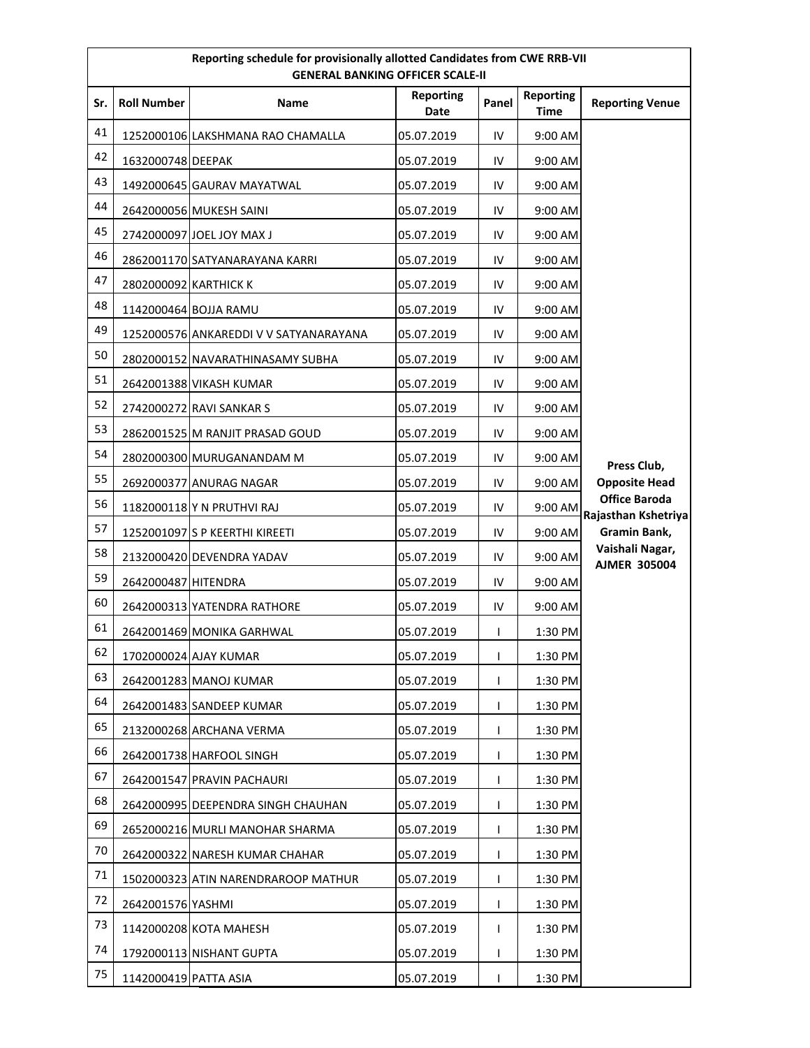| Reporting schedule for provisionally allotted Candidates from CWE RRB-VII<br><b>GENERAL BANKING OFFICER SCALE-II</b> |                       |                                        |                          |       |                                 |                                             |
|----------------------------------------------------------------------------------------------------------------------|-----------------------|----------------------------------------|--------------------------|-------|---------------------------------|---------------------------------------------|
| Sr.                                                                                                                  | <b>Roll Number</b>    | <b>Name</b>                            | <b>Reporting</b><br>Date | Panel | <b>Reporting</b><br><b>Time</b> | <b>Reporting Venue</b>                      |
| 41                                                                                                                   |                       | 1252000106 LAKSHMANA RAO CHAMALLA      | 05.07.2019               | IV    | 9:00 AM                         |                                             |
| 42                                                                                                                   | 1632000748 DEEPAK     |                                        | 05.07.2019               | IV    | 9:00 AM                         |                                             |
| 43                                                                                                                   |                       | 1492000645 GAURAV MAYATWAL             | 05.07.2019               | IV    | 9:00 AM                         |                                             |
| 44                                                                                                                   |                       | 2642000056 MUKESH SAINI                | 05.07.2019               | IV    | 9:00 AM                         |                                             |
| 45                                                                                                                   |                       | 2742000097 JOEL JOY MAX J              | 05.07.2019               | IV    | 9:00 AM                         |                                             |
| 46                                                                                                                   |                       | 2862001170 SATYANARAYANA KARRI         | 05.07.2019               | IV    | 9:00 AM                         |                                             |
| 47                                                                                                                   | 2802000092 KARTHICK K |                                        | 05.07.2019               | IV    | 9:00 AM                         |                                             |
| 48                                                                                                                   |                       | 1142000464 BOJJA RAMU                  | 05.07.2019               | IV    | 9:00 AM                         |                                             |
| 49                                                                                                                   |                       | 1252000576 ANKAREDDI V V SATYANARAYANA | 05.07.2019               | IV    | 9:00 AM                         |                                             |
| 50                                                                                                                   |                       | 2802000152 NAVARATHINASAMY SUBHA       | 05.07.2019               | IV    | 9:00 AM                         |                                             |
| 51                                                                                                                   |                       | 2642001388 VIKASH KUMAR                | 05.07.2019               | IV    | 9:00 AM                         |                                             |
| 52                                                                                                                   |                       | 2742000272 RAVI SANKAR S               | 05.07.2019               | IV    | 9:00 AM                         |                                             |
| 53                                                                                                                   |                       | 2862001525 M RANJIT PRASAD GOUD        | 05.07.2019               | IV    | 9:00 AM                         |                                             |
| 54                                                                                                                   |                       | 2802000300 MURUGANANDAM M              | 05.07.2019               | IV    | 9:00 AM                         |                                             |
| 55                                                                                                                   |                       | 2692000377 ANURAG NAGAR                | 05.07.2019               | IV    | 9:00 AM                         | Press Club,<br><b>Opposite Head</b>         |
| 56                                                                                                                   |                       | 1182000118 Y N PRUTHVI RAJ             | 05.07.2019               | IV    | 9:00 AM                         | <b>Office Baroda</b><br>Rajasthan Kshetriya |
| 57                                                                                                                   |                       | 1252001097 S P KEERTHI KIREETI         | 05.07.2019               | IV    | 9:00 AM                         | Gramin Bank,                                |
| 58                                                                                                                   |                       | 2132000420 DEVENDRA YADAV              | 05.07.2019               | IV    | 9:00 AM                         | Vaishali Nagar,                             |
| 59                                                                                                                   | 2642000487 HITENDRA   |                                        | 05.07.2019               | IV    | 9:00 AM                         | <b>AJMER 305004</b>                         |
| 60                                                                                                                   |                       | 2642000313 YATENDRA RATHORE            | 05.07.2019               | IV    | 9:00 AM                         |                                             |
| 61                                                                                                                   |                       | 2642001469 MONIKA GARHWAL              | 05.07.2019               | L     | 1:30 PM                         |                                             |
| 62                                                                                                                   |                       | 1702000024 AJAY KUMAR                  | 05.07.2019               |       | 1:30 PM                         |                                             |
| 63                                                                                                                   |                       | 2642001283 MANOJ KUMAR                 | 05.07.2019               |       | 1:30 PM                         |                                             |
| 64                                                                                                                   |                       | 2642001483 SANDEEP KUMAR               | 05.07.2019               |       | 1:30 PM                         |                                             |
| 65                                                                                                                   |                       | 2132000268 ARCHANA VERMA               | 05.07.2019               |       | 1:30 PM                         |                                             |
| 66                                                                                                                   |                       | 2642001738 HARFOOL SINGH               | 05.07.2019               |       | 1:30 PM                         |                                             |
| 67                                                                                                                   |                       | 2642001547 PRAVIN PACHAURI             | 05.07.2019               |       | 1:30 PM                         |                                             |
| 68                                                                                                                   |                       | 2642000995 DEEPENDRA SINGH CHAUHAN     | 05.07.2019               | ı     | 1:30 PM                         |                                             |
| 69                                                                                                                   |                       | 2652000216 MURLI MANOHAR SHARMA        | 05.07.2019               | L     | 1:30 PM                         |                                             |
| 70                                                                                                                   |                       | 2642000322 NARESH KUMAR CHAHAR         | 05.07.2019               |       | 1:30 PM                         |                                             |
| 71                                                                                                                   |                       | 1502000323 ATIN NARENDRAROOP MATHUR    | 05.07.2019               |       | 1:30 PM                         |                                             |
| 72                                                                                                                   | 2642001576 YASHMI     |                                        | 05.07.2019               |       | 1:30 PM                         |                                             |
| 73                                                                                                                   |                       | 1142000208 KOTA MAHESH                 | 05.07.2019               | L     | 1:30 PM                         |                                             |
| 74                                                                                                                   |                       | 1792000113 NISHANT GUPTA               | 05.07.2019               |       | 1:30 PM                         |                                             |
| 75                                                                                                                   | 1142000419 PATTA ASIA |                                        | 05.07.2019               |       | 1:30 PM                         |                                             |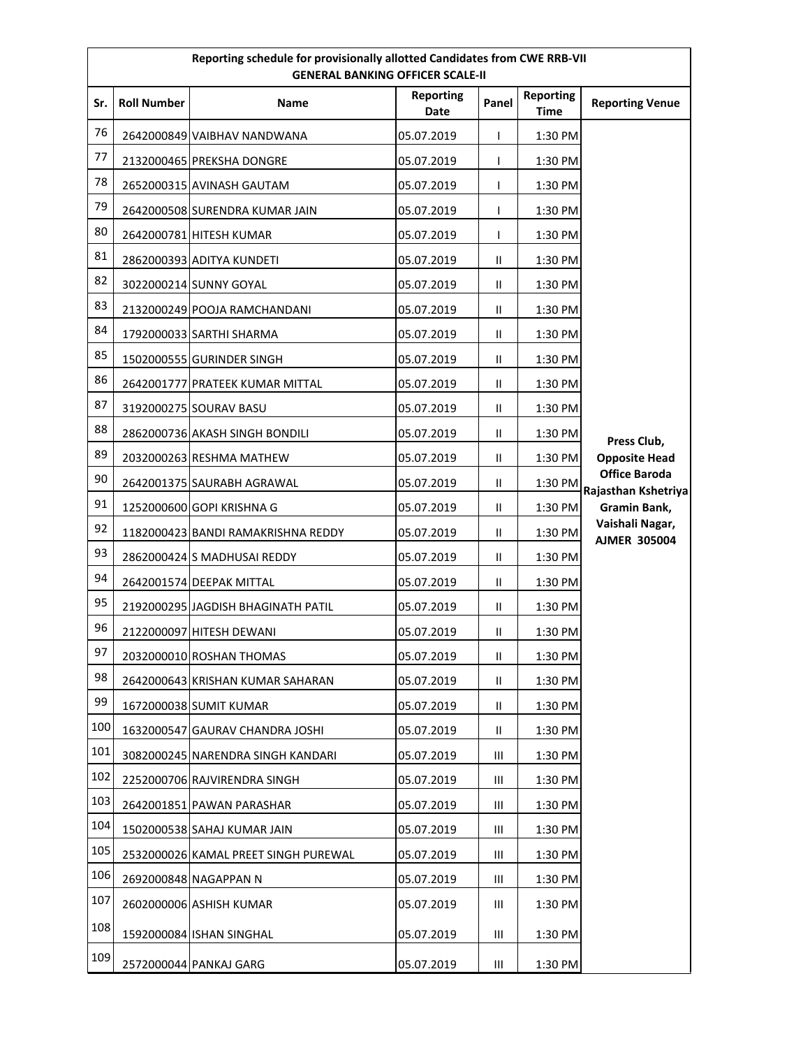| Reporting schedule for provisionally allotted Candidates from CWE RRB-VII<br><b>GENERAL BANKING OFFICER SCALE-II</b> |                    |                                      |                   |               |                          |                                                             |
|----------------------------------------------------------------------------------------------------------------------|--------------------|--------------------------------------|-------------------|---------------|--------------------------|-------------------------------------------------------------|
| Sr.                                                                                                                  | <b>Roll Number</b> | Name                                 | Reporting<br>Date | Panel         | <b>Reporting</b><br>Time | <b>Reporting Venue</b>                                      |
| 76                                                                                                                   |                    | 2642000849 VAIBHAV NANDWANA          | 05.07.2019        | $\mathbf{I}$  | 1:30 PM                  |                                                             |
| 77                                                                                                                   |                    | 2132000465 PREKSHA DONGRE            | 05.07.2019        | T             | 1:30 PM                  |                                                             |
| 78                                                                                                                   |                    | 2652000315 AVINASH GAUTAM            | 05.07.2019        | T             | 1:30 PM                  |                                                             |
| 79                                                                                                                   |                    | 2642000508 SURENDRA KUMAR JAIN       | 05.07.2019        | T             | 1:30 PM                  |                                                             |
| 80                                                                                                                   |                    | 2642000781 HITESH KUMAR              | 05.07.2019        | $\mathbf{I}$  | 1:30 PM                  |                                                             |
| 81                                                                                                                   |                    | 2862000393 ADITYA KUNDETI            | 05.07.2019        | $\mathbf{H}$  | 1:30 PM                  |                                                             |
| 82                                                                                                                   |                    | 3022000214 SUNNY GOYAL               | 05.07.2019        | Ш             | 1:30 PM                  |                                                             |
| 83                                                                                                                   |                    | 2132000249 POOJA RAMCHANDANI         | 05.07.2019        | $\mathbf{I}$  | 1:30 PM                  |                                                             |
| 84                                                                                                                   |                    | 1792000033 SARTHI SHARMA             | 05.07.2019        | $\mathbf{II}$ | 1:30 PM                  |                                                             |
| 85                                                                                                                   |                    | 1502000555 GURINDER SINGH            | 05.07.2019        | $\mathbf{I}$  | 1:30 PM                  |                                                             |
| 86                                                                                                                   |                    | 2642001777 PRATEEK KUMAR MITTAL      | 05.07.2019        | $\mathbf{I}$  | 1:30 PM                  |                                                             |
| 87                                                                                                                   |                    | 3192000275 SOURAV BASU               | 05.07.2019        | $\mathbf{I}$  | 1:30 PM                  |                                                             |
| 88                                                                                                                   |                    | 2862000736 AKASH SINGH BONDILI       | 05.07.2019        | $\mathbf{H}$  | 1:30 PM                  | Press Club,                                                 |
| 89                                                                                                                   |                    | 2032000263 RESHMA MATHEW             | 05.07.2019        | $\mathbf{I}$  | 1:30 PM                  | <b>Opposite Head</b>                                        |
| 90                                                                                                                   |                    | 2642001375 SAURABH AGRAWAL           | 05.07.2019        | $\mathbf{I}$  | 1:30 PM                  | <b>Office Baroda</b><br>Rajasthan Kshetriya<br>Gramin Bank, |
| 91                                                                                                                   |                    | 1252000600 GOPI KRISHNA G            | 05.07.2019        | $\mathbf{H}$  | 1:30 PM                  |                                                             |
| 92                                                                                                                   |                    | 1182000423 BANDI RAMAKRISHNA REDDY   | 05.07.2019        | $\mathbf{II}$ | 1:30 PM                  | Vaishali Nagar,<br><b>AJMER 305004</b>                      |
| 93                                                                                                                   |                    | 2862000424 S MADHUSAI REDDY          | 05.07.2019        | $\mathbf{II}$ | 1:30 PM                  |                                                             |
| 94                                                                                                                   |                    | 2642001574 DEEPAK MITTAL             | 05.07.2019        | $\mathbf{I}$  | 1:30 PM                  |                                                             |
| 95                                                                                                                   |                    | 2192000295 JAGDISH BHAGINATH PATIL   | 05.07.2019        | $\mathbf{II}$ | 1:30 PM                  |                                                             |
| 96                                                                                                                   |                    | 2122000097 HITESH DEWANI             | 05.07.2019        | $\mathbf{II}$ | 1:30 PM                  |                                                             |
| 97                                                                                                                   |                    | 2032000010 ROSHAN THOMAS             | 05.07.2019        | Ш             | 1:30 PM                  |                                                             |
| 98                                                                                                                   |                    | 2642000643 KRISHAN KUMAR SAHARAN     | 05.07.2019        | Ш             | 1:30 PM                  |                                                             |
| 99                                                                                                                   |                    | 1672000038 SUMIT KUMAR               | 05.07.2019        | $\mathbf{II}$ | 1:30 PM                  |                                                             |
| 100                                                                                                                  |                    | 1632000547 GAURAV CHANDRA JOSHI      | 05.07.2019        | $\mathbf{II}$ | 1:30 PM                  |                                                             |
| 101                                                                                                                  |                    | 3082000245 NARENDRA SINGH KANDARI    | 05.07.2019        | Ш             | 1:30 PM                  |                                                             |
| 102                                                                                                                  |                    | 2252000706 RAJVIRENDRA SINGH         | 05.07.2019        | Ш             | 1:30 PM                  |                                                             |
| 103                                                                                                                  |                    | 2642001851 PAWAN PARASHAR            | 05.07.2019        | Ш             | 1:30 PM                  |                                                             |
| 104                                                                                                                  |                    | 1502000538 SAHAJ KUMAR JAIN          | 05.07.2019        | Ш             | 1:30 PM                  |                                                             |
| 105                                                                                                                  |                    | 2532000026 KAMAL PREET SINGH PUREWAL | 05.07.2019        | Ш             | 1:30 PM                  |                                                             |
| 106                                                                                                                  |                    | 2692000848 NAGAPPAN N                | 05.07.2019        | Ш             | 1:30 PM                  |                                                             |
| 107                                                                                                                  |                    | 2602000006 ASHISH KUMAR              | 05.07.2019        | Ш             | 1:30 PM                  |                                                             |
| 108                                                                                                                  |                    | 1592000084 ISHAN SINGHAL             | 05.07.2019        | Ш             | 1:30 PM                  |                                                             |
| 109                                                                                                                  |                    | 2572000044 PANKAJ GARG               | 05.07.2019        | Ш             | 1:30 PM                  |                                                             |